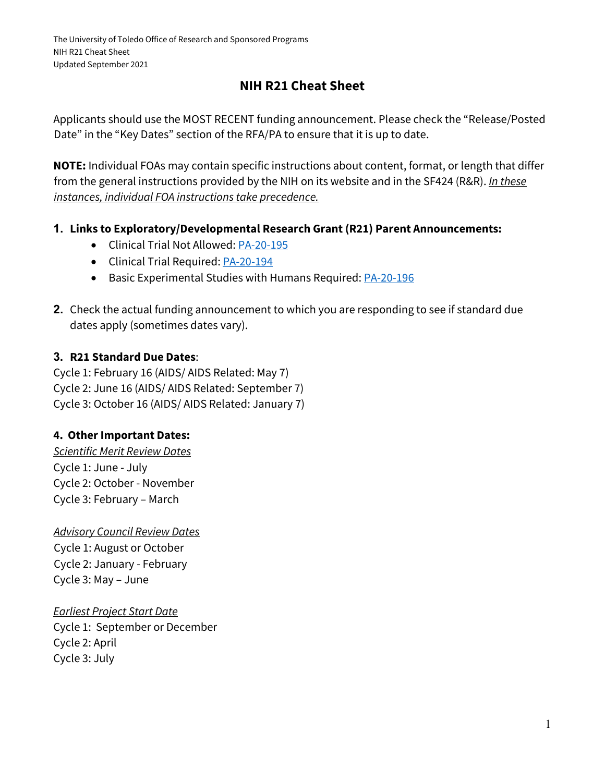# **NIH R21 Cheat Sheet**

Applicants should use the MOST RECENT funding announcement. Please check the "Release/Posted Date" in the "Key Dates" section of the RFA/PA to ensure that it is up to date.

**NOTE:** Individual FOAs may contain specific instructions about content, format, or length that differ from the general instructions provided by the NIH on its website and in the SF424 (R&R). *In these instances, individual FOA instructions take precedence.*

- **1. Links to Exploratory/Developmental Research Grant (R21) Parent Announcements:**
	- Clinical Trial Not Allowed: [PA-20-195](https://grants.nih.gov/grants/guide/pa-files/PA-20-195.html)
	- Clinical Trial Required[: PA-20-194](https://grants.nih.gov/grants/guide/pa-files/PA-20-194.html)
	- Basic Experimental Studies with Humans Required[: PA-20-196](https://grants.nih.gov/grants/guide/pa-files/PA-20-196.html)
- **2.** Check the actual funding announcement to which you are responding to see if standard due dates apply (sometimes dates vary).

### **3. R21 Standard Due Dates**:

Cycle 1: February 16 (AIDS/ AIDS Related: May 7) Cycle 2: June 16 (AIDS/ AIDS Related: September 7) Cycle 3: October 16 (AIDS/ AIDS Related: January 7)

### **4. Other Important Dates:**

*Scientific Merit Review Dates* Cycle 1: June - July Cycle 2: October - November Cycle 3: February – March

*Advisory Council Review Dates* Cycle 1: August or October Cycle 2: January - February Cycle 3: May – June

*Earliest Project Start Date* Cycle 1: September or December Cycle 2: April Cycle 3: July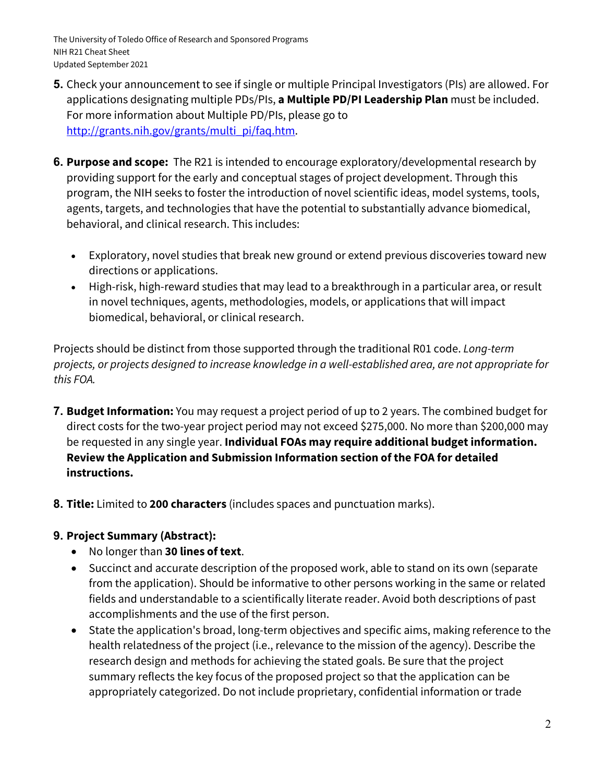- **5.** Check your announcement to see if single or multiple Principal Investigators (PIs) are allowed. For applications designating multiple PDs/PIs, **a Multiple PD/PI Leadership Plan** must be included. For more information about Multiple PD/PIs, please go to http://grants.nih.gov/grants/multi\_pi/faq.htm.
- **6. Purpose and scope:** The R21 is intended to encourage exploratory/developmental research by providing support for the early and conceptual stages of project development. Through this program, the NIH seeks to foster the introduction of novel scientific ideas, model systems, tools, agents, targets, and technologies that have the potential to substantially advance biomedical, behavioral, and clinical research. This includes:
	- Exploratory, novel studies that break new ground or extend previous discoveries toward new directions or applications.
	- High-risk, high-reward studies that may lead to a breakthrough in a particular area, or result in novel techniques, agents, methodologies, models, or applications that will impact biomedical, behavioral, or clinical research.

Projects should be distinct from those supported through the traditional R01 code. *Long-term projects, or projects designed to increase knowledge in a well-established area, are not appropriate for this FOA.*

- **7. Budget Information:** You may request a project period of up to 2 years. The combined budget for direct costs for the two-year project period may not exceed \$275,000. No more than \$200,000 may be requested in any single year. **Individual FOAs may require additional budget information. Review the Application and Submission Information section of the FOA for detailed instructions.**
- **8. Title:** Limited to **200 characters** (includes spaces and punctuation marks).

#### **9. Project Summary (Abstract):**

- No longer than **30 lines of text**.
- Succinct and accurate description of the proposed work, able to stand on its own (separate from the application). Should be informative to other persons working in the same or related fields and understandable to a scientifically literate reader. Avoid both descriptions of past accomplishments and the use of the first person.
- State the application's broad, long-term objectives and specific aims, making reference to the health relatedness of the project (i.e., relevance to the mission of the agency). Describe the research design and methods for achieving the stated goals. Be sure that the project summary reflects the key focus of the proposed project so that the application can be appropriately categorized. Do not include proprietary, confidential information or trade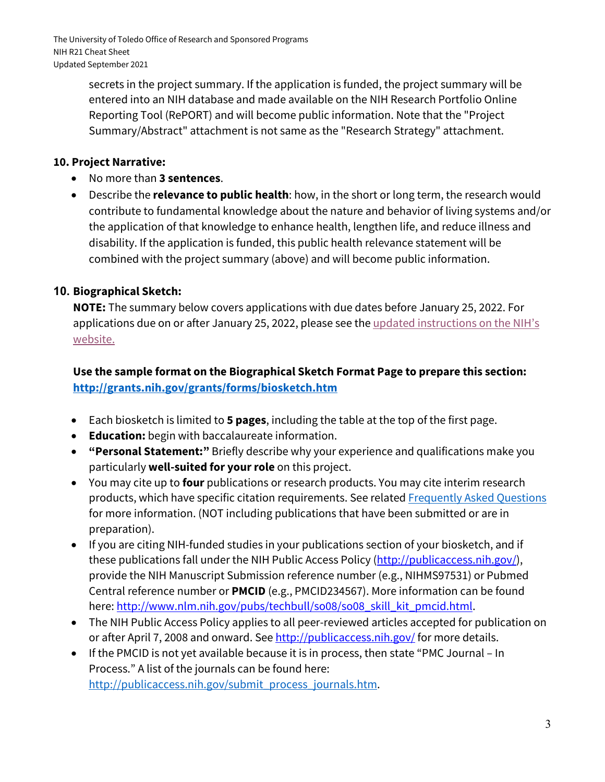secrets in the project summary. If the application is funded, the project summary will be entered into an NIH database and made available on the NIH Research Portfolio Online Reporting Tool (RePORT) and will become public information. Note that the "Project Summary/Abstract" attachment is not same as the "Research Strategy" attachment.

#### **10. Project Narrative:**

- No more than **3 sentences**.
- Describe the **relevance to public health**: how, in the short or long term, the research would contribute to fundamental knowledge about the nature and behavior of living systems and/or the application of that knowledge to enhance health, lengthen life, and reduce illness and disability. If the application is funded, this public health relevance statement will be combined with the project summary (above) and will become public information.

### **10. Biographical Sketch:**

**NOTE:** The summary below covers applications with due dates before January 25, 2022. For applications due on or after January 25, 2022, please see the updated instructions on the NIH's [website.](https://grants.nih.gov/grants/forms/biosketch.htm)

### **Use the sample format on the Biographical Sketch Format Page to prepare this section: <http://grants.nih.gov/grants/forms/biosketch.htm>**

- Each biosketch is limited to **5 pages**, including the table at the top of the first page.
- **Education:** begin with baccalaureate information.
- **"Personal Statement:"** Briefly describe why your experience and qualifications make you particularly **well-suited for your role** on this project.
- You may cite up to **four** publications or research products. You may cite interim research products, which have specific citation requirements. See related [Frequently Asked Questions](http://grants.nih.gov/grants/interim_product_faqs.htm) for more information. (NOT including publications that have been submitted or are in preparation).
- If you are citing NIH-funded studies in your publications section of your biosketch, and if these publications fall under the NIH Public Access Policy (http://publicaccess.nih.gov/), provide the NIH Manuscript Submission reference number (e.g., NIHMS97531) or Pubmed Central reference number or **PMCID** (e.g., PMCID234567). More information can be found here: http://www.nlm.nih.gov/pubs/techbull/so08/so08\_skill\_kit\_pmcid.html.
- The NIH Public Access Policy applies to all peer-reviewed articles accepted for publication on or after April 7, 2008 and onward. See http://publicaccess.nih.gov/ for more details.
- If the PMCID is not yet available because it is in process, then state "PMC Journal In Process." A list of the journals can be found here: [http://publicaccess.nih.gov/submit\\_process\\_journals.htm.](http://publicaccess.nih.gov/submit_process_journals.htm)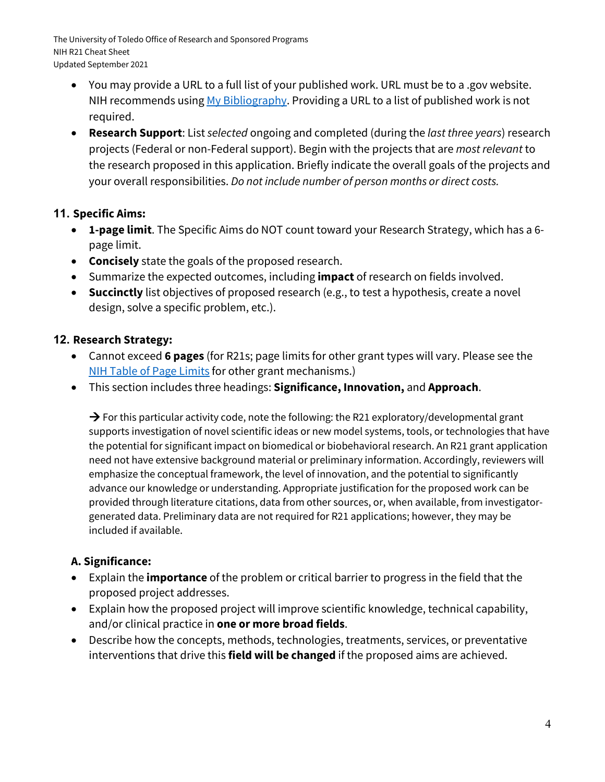- You may provide a URL to a full list of your published work. URL must be to a .gov website. NIH recommends using [My Bibliography.](http://www.ncbi.nlm.nih.gov/books/NBK53595/) Providing a URL to a list of published work is not required.
- **Research Support**: List *selected* ongoing and completed (during the *last three years*) research projects (Federal or non-Federal support). Begin with the projects that are *most relevant* to the research proposed in this application. Briefly indicate the overall goals of the projects and your overall responsibilities. *Do not include number of person months or direct costs.*

### **11. Specific Aims:**

- **1-page limit**. The Specific Aims do NOT count toward your Research Strategy, which has a 6 page limit.
- **Concisely** state the goals of the proposed research.
- Summarize the expected outcomes, including **impact** of research on fields involved.
- **Succinctly** list objectives of proposed research (e.g., to test a hypothesis, create a novel design, solve a specific problem, etc.).

### **12. Research Strategy:**

- Cannot exceed **6 pages** (for R21s; page limits for other grant types will vary. Please see the [NIH Table of Page Limits](https://grants.nih.gov/grants/how-to-apply-application-guide/format-and-write/page-limits.htm) for other grant mechanisms.)
- This section includes three headings: **Significance, Innovation,** and **Approach**.

 $\rightarrow$  For this particular activity code, note the following: the R21 exploratory/developmental grant supports investigation of novel scientific ideas or new model systems, tools, or technologies that have the potential for significant impact on biomedical or biobehavioral research. An R21 grant application need not have extensive background material or preliminary information. Accordingly, reviewers will emphasize the conceptual framework, the level of innovation, and the potential to significantly advance our knowledge or understanding. Appropriate justification for the proposed work can be provided through literature citations, data from other sources, or, when available, from investigatorgenerated data. Preliminary data are not required for R21 applications; however, they may be included if available.

## **A. Significance:**

- Explain the **importance** of the problem or critical barrier to progress in the field that the proposed project addresses.
- Explain how the proposed project will improve scientific knowledge, technical capability, and/or clinical practice in **one or more broad fields**.
- Describe how the concepts, methods, technologies, treatments, services, or preventative interventions that drive this **field will be changed** if the proposed aims are achieved.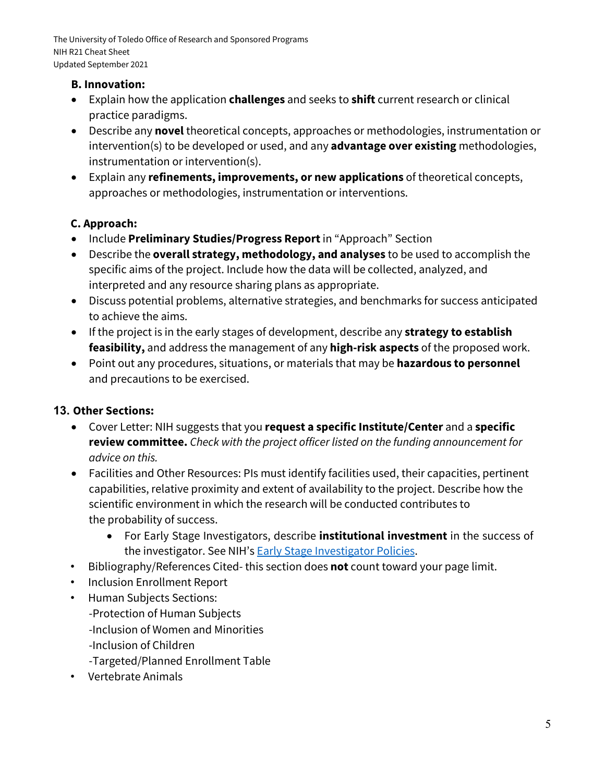#### **B. Innovation:**

- Explain how the application **challenges** and seeks to **shift** current research or clinical practice paradigms.
- Describe any **novel** theoretical concepts, approaches or methodologies, instrumentation or intervention(s) to be developed or used, and any **advantage over existing** methodologies, instrumentation or intervention(s).
- Explain any **refinements, improvements, or new applications** of theoretical concepts, approaches or methodologies, instrumentation or interventions.

### **C. Approach:**

- Include **Preliminary Studies/Progress Report**in "Approach" Section
- Describe the **overall strategy, methodology, and analyses** to be used to accomplish the specific aims of the project. Include how the data will be collected, analyzed, and interpreted and any resource sharing plans as appropriate.
- Discuss potential problems, alternative strategies, and benchmarks for success anticipated to achieve the aims.
- If the project is in the early stages of development, describe any **strategy to establish feasibility,** and address the management of any **high-risk aspects** of the proposed work.
- Point out any procedures, situations, or materials that may be **hazardous to personnel** and precautions to be exercised.

## **13. Other Sections:**

- Cover Letter: NIH suggests that you **request a specific Institute/Center** and a **specific review committee.** *Check with the project officer listed on the funding announcement for advice on this.*
- Facilities and Other Resources: PIs must identify facilities used, their capacities, pertinent capabilities, relative proximity and extent of availability to the project. Describe how the scientific environment in which the research will be conducted contributes to the probability of success.
	- For Early Stage Investigators, describe **institutional investment** in the success of the investigator. See NIH's **Early Stage Investigator Policies**.
- Bibliography/References Cited- this section does **not** count toward your page limit.
- Inclusion Enrollment Report
- Human Subjects Sections: -Protection of Human Subjects -Inclusion of Women and Minorities -Inclusion of Children -Targeted/Planned Enrollment Table
- Vertebrate Animals